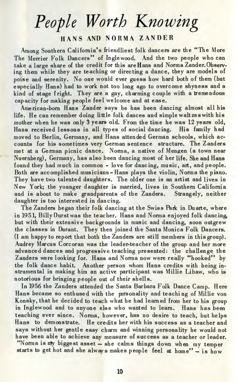# *People Worth Knowing*

## **HAN S AN D NORM A ZANDE R**

Among Southern California's friendliest folk dancers are the "The More The Merrier Folk Dancers" of Ingle wood. And the two people who can take a large share of the credit for this are Hans and Norma Zander.Observing them while they are teaching or directing a dance, they are models of poise and serenity. No one would ever guess how hard both of them (but especially Hans) had to work not too long ago to overcome shyness and a kind of stage fright. They are a gay, charming couple with a tremendous capacity for making people feel welcome and at ease.

American-born Hans Zander says he has been dancing almost all his life. He can remember doing little folk dances and simple waltzes with his mother when he was only 3 years old. From the time he was 12 years old, Hans received lessons in all types of social dancing. His family had moved to Berlin, Germany, and Hans attended German schools, which accounts for his sometimes very German sentence structure. The Zanders met at a German picnic dance. Norma, a native of Mengen (a town near Nuernberg), Germany, has also been dancing most of her life. She and Hans found they had much in common - love for dancing, music, art, and people. Both are accomplished musicians-Hans plays the violin, Norma the piano. They have two talented daughters. The older one is an artist and lives in New York; the younger daughter is married, lives in Southern California and is about to make grandparents of the Zanders. Strangely, neither daughter is too interested in dancing.

The Zanders began their folk dancing at the Swiss Park in Duarte, where in 1951, Billy Durst was the teacher. Hans and Norma enjoyed folk dancing, but with their extensive backgrounds in music and dancing, soon outgrew the classes in Durant. They then joined the Santa Monica Folk Dancers. (I am happy to report that both the Zanders are still members in this group). Audrey Marcus Corcoran was the leader-teacher of the group and her more advanced dances and progressive teaching presented the challenge the Zanders were looking for. Hans and Norma now were really "hooked" by the folk dance habit. Another person whom Hans credits with being instrumental in making him an active participant was Millie Libaw, who is notorious for bringing people out of their shells.

In 1956 the Zanders attended the Santa Barbara Folk Dance Camp. Here Hans became so enthused with the personality and teaching of Millie von Konsky, that he decided to teach what he had learned from her to his group in Inglewood and to anyone else who wanted to learn. Hans has been teaching ever since. Norma, however, has no desire to teach, but helps Hans to demonstrate. He credits her with his success as a teacher and says without her gentle easy charm and winning personality he would not have been able to achieve any measure of success as a teacher or leader. "Norma is my biggest asset - she calms things down when my temper

starts to get hot and she always makes people feel at home" - is how